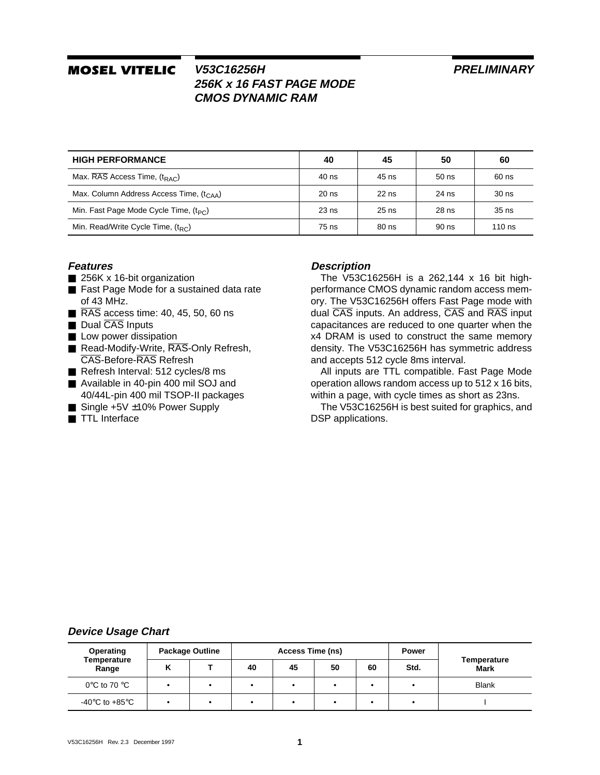### **PRELIMINARY**

# *MOSEL VITELIC*

## **V53C16256H 256K x 16 FAST PAGE MODE CMOS DYNAMIC RAM**

| <b>HIGH PERFORMANCE</b>                        | 40      | 45      | 50      | 60               |
|------------------------------------------------|---------|---------|---------|------------------|
| Max. $\overline{RAS}$ Access Time, $(t_{RAC})$ | 40 ns   | 45 ns   | $50$ ns | 60 ns            |
| Max. Column Address Access Time, $(tCAA)$      | $20$ ns | $22$ ns | 24 ns   | 30 <sub>ns</sub> |
| Min. Fast Page Mode Cycle Time, $(t_{PC})$     | $23$ ns | $25$ ns | 28 ns   | $35$ ns          |
| Min. Read/Write Cycle Time, $(t_{RC})$         | 75 ns   | 80 ns   | 90 ns   | $110$ ns         |

#### **Features**

- 256K x 16-bit organization
- Fast Page Mode for a sustained data rate of 43 MHz.
- RAS access time: 40, 45, 50, 60 ns
- Dual CAS Inputs
- Low power dissipation
- Read-Modify-Write, RAS-Only Refresh, CAS-Before-RAS Refresh
- Refresh Interval: 512 cycles/8 ms
- Available in 40-pin 400 mil SOJ and 40/44L-pin 400 mil TSOP-II packages
- $\blacksquare$  Single +5V  $\pm$ 10% Power Supply
- TTL Interface

### **Description**

The V53C16256H is a 262,144 x 16 bit highperformance CMOS dynamic random access memory. The V53C16256H offers Fast Page mode with dual CAS inputs. An address, CAS and RAS input capacitances are reduced to one quarter when the x4 DRAM is used to construct the same memory density. The V53C16256H has symmetric address and accepts 512 cycle 8ms interval.

All inputs are TTL compatible. Fast Page Mode operation allows random access up to 512 x 16 bits, within a page, with cycle times as short as 23ns.

The V53C16256H is best suited for graphics, and DSP applications.

### **Device Usage Chart**

| Operating                            |   | <b>Package Outline</b> | <b>Access Time (ns)</b> |    |    |    | <b>Power</b> |                     |  |
|--------------------------------------|---|------------------------|-------------------------|----|----|----|--------------|---------------------|--|
| Temperature<br>Range                 | n |                        | 40                      | 45 | 50 | 60 | Std.         | Temperature<br>Mark |  |
| 0°C to 70 °C                         |   |                        |                         |    |    |    | $\bullet$    | <b>Blank</b>        |  |
| -40 $^{\circ}$ C to +85 $^{\circ}$ C |   |                        |                         |    |    |    |              |                     |  |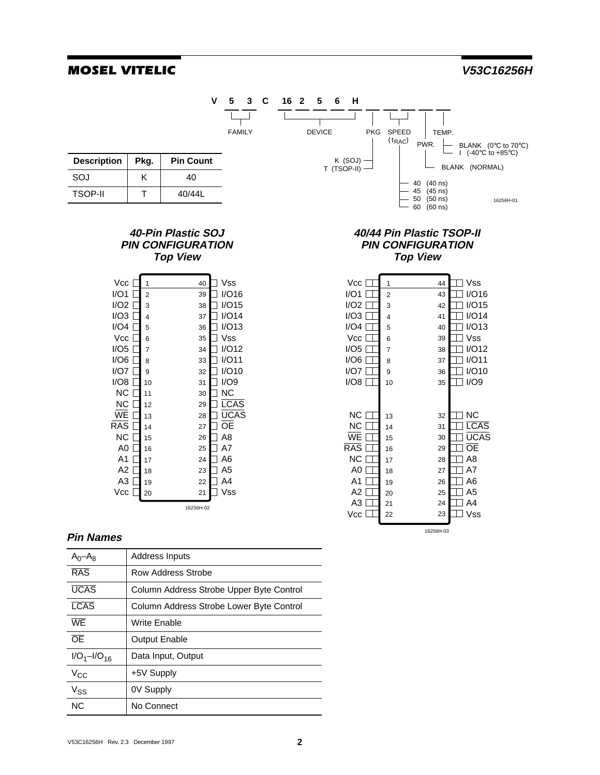16256H-03



#### **Pin Names**

| $A_0 - A_8$      | Address Inputs                           |
|------------------|------------------------------------------|
| RAS              | Row Address Strobe                       |
| <b>UCAS</b>      | Column Address Strobe Upper Byte Control |
| <b>LCAS</b>      | Column Address Strobe Lower Byte Control |
| WF               | Write Enable                             |
| $\overline{OF}$  | <b>Output Enable</b>                     |
| $I/O_1-I/O_{16}$ | Data Input, Output                       |
| $V_{CC}$         | +5V Supply                               |
| $V_{SS}$         | 0V Supply                                |
| N <sub>C</sub>   | No Connect                               |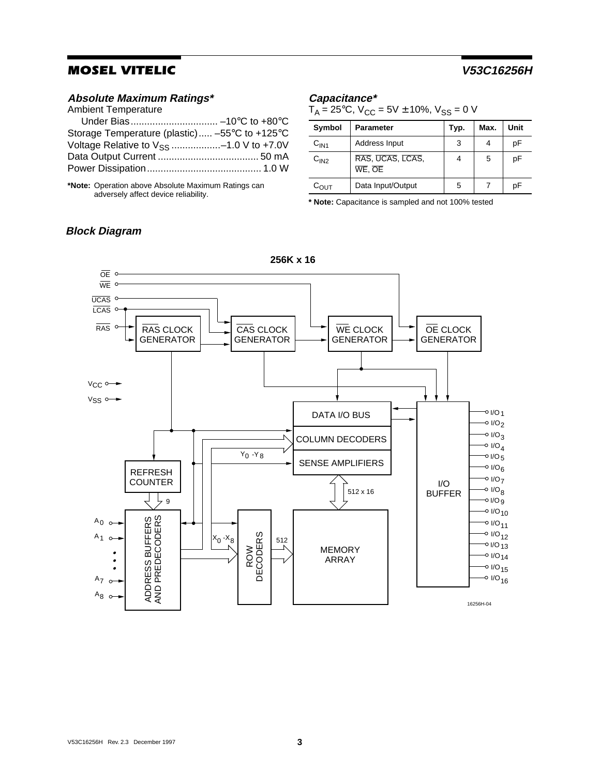### **Absolute Maximum Ratings\***

Ambient Temperature

**Block Diagram**

| Storage Temperature (plastic) -55°C to +125°C |
|-----------------------------------------------|
| Voltage Relative to $V_{SS}$ -1.0 V to +7.0V  |
|                                               |
|                                               |
|                                               |

**\*Note:** Operation above Absolute Maximum Ratings can adversely affect device reliability.

#### **Capacitance\***

 $T_A = 25^{\circ}$ C, V<sub>CC</sub> = 5V ± 10%, V<sub>SS</sub> = 0 V

| Symbol           | <b>Parameter</b>           | Typ. | Max. | Unit |
|------------------|----------------------------|------|------|------|
| C <sub>IN1</sub> | Address Input              | 3    |      | рF   |
| C <sub>IN2</sub> | RAS, UCAS, LCAS,<br>WE, OE | 4    | 5    | рF   |
| $C_{\text{OUT}}$ | Data Input/Output          | 5    |      | рF   |

**\* Note:** Capacitance is sampled and not 100% tested



**256K x 16**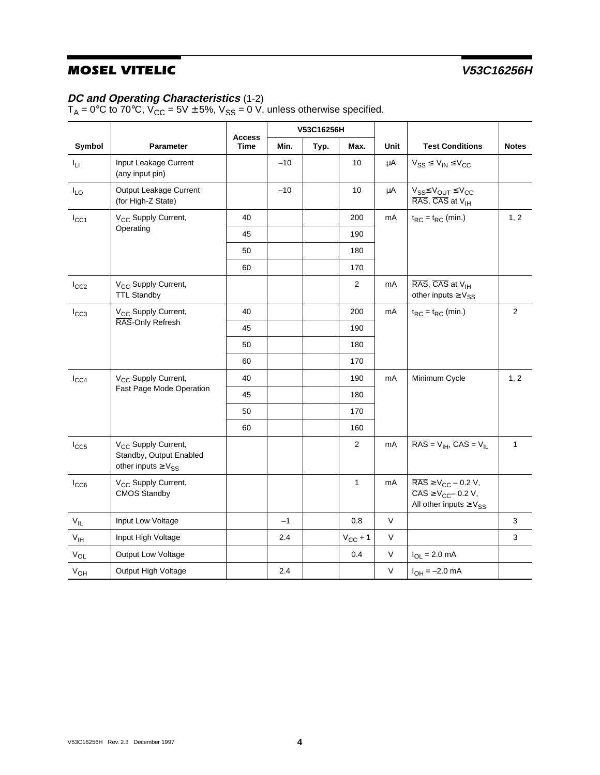### **DC and Operating Characteristics** (1-2)

 ${\sf T}_{\sf A}$  = 0°C to 70°C, V<sub>CC</sub> = 5V  $\pm$  5%, V<sub>SS</sub> = 0 V, unless otherwise specified.

|                 |                                                                                            | <b>Access</b> |       | V53C16256H |                |              |                                                                                                                                           |              |
|-----------------|--------------------------------------------------------------------------------------------|---------------|-------|------------|----------------|--------------|-------------------------------------------------------------------------------------------------------------------------------------------|--------------|
| Symbol          | <b>Parameter</b>                                                                           | <b>Time</b>   | Min.  | Typ.       | Max.           | <b>Unit</b>  | <b>Test Conditions</b>                                                                                                                    | <b>Notes</b> |
| $I_{LI}$        | Input Leakage Current<br>(any input pin)                                                   |               | $-10$ |            | 10             | $\mu$ A      | $V_{SS} \leq V_{IN} \leq V_{CC}$                                                                                                          |              |
| $I_{LO}$        | Output Leakage Current<br>(for High-Z State)                                               |               | $-10$ |            | 10             | μA           | $V_{SS} \leq V_{OUT} \leq V_{CC}$<br>RAS, CAS at V <sub>IH</sub>                                                                          |              |
| $I_{CC1}$       | V <sub>CC</sub> Supply Current,                                                            | 40            |       |            | 200            | mA           | $t_{RC} = t_{RC}$ (min.)                                                                                                                  | 1, 2         |
|                 | Operating                                                                                  | 45            |       |            | 190            |              |                                                                                                                                           |              |
|                 |                                                                                            | 50            |       |            | 180            |              |                                                                                                                                           |              |
|                 |                                                                                            | 60            |       |            | 170            |              |                                                                                                                                           |              |
| $I_{CC2}$       | V <sub>CC</sub> Supply Current,<br><b>TTL Standby</b>                                      |               |       |            | $\overline{2}$ | mA           | RAS, CAS at V <sub>IH</sub><br>other inputs $\geq$ $V_{SS}$                                                                               |              |
| $I_{CC3}$       | V <sub>CC</sub> Supply Current,                                                            | 40            |       |            | 200            | mA           | $t_{RC} = t_{RC}$ (min.)                                                                                                                  | 2            |
|                 | RAS-Only Refresh                                                                           |               |       |            | 190            |              |                                                                                                                                           |              |
|                 |                                                                                            | 50            |       |            | 180            |              |                                                                                                                                           |              |
|                 |                                                                                            | 60            |       |            | 170            |              |                                                                                                                                           |              |
| $I_{CC4}$       | V <sub>CC</sub> Supply Current,                                                            | 40            |       |            | 190            | mA           | Minimum Cycle                                                                                                                             | 1, 2         |
|                 | Fast Page Mode Operation                                                                   | 45            |       |            | 180            |              |                                                                                                                                           |              |
|                 |                                                                                            | 50            |       |            | 170            |              |                                                                                                                                           |              |
|                 |                                                                                            | 60            |       |            | 160            |              |                                                                                                                                           |              |
| $I_{CC5}$       | V <sub>CC</sub> Supply Current,<br>Standby, Output Enabled<br>other inputs $\geq$ $V_{SS}$ |               |       |            | $\overline{2}$ | mA           | $\overline{\text{RAS}} = V_{\text{IH}}$ , $\overline{\text{CAS}} = V_{\text{II}}$                                                         | $\mathbf{1}$ |
| $I_{CC6}$       | V <sub>CC</sub> Supply Current,<br><b>CMOS Standby</b>                                     |               |       |            | $\mathbf{1}$   | mA           | $\overline{\text{RAS}} \geq V_{\text{CC}} - 0.2 \text{ V},$<br>$\overline{CAS} \geq V_{CC} - 0.2 V$ ,<br>All other inputs $\geq$ $V_{SS}$ |              |
| $V_{IL}$        | Input Low Voltage                                                                          |               | $-1$  |            | 0.8            | V            |                                                                                                                                           | 3            |
| $V_{\text{IH}}$ | Input High Voltage                                                                         |               | 2.4   |            | $V_{CC} + 1$   | V            |                                                                                                                                           | $\mathbf{3}$ |
| $V_{OL}$        | Output Low Voltage                                                                         |               |       |            | 0.4            | $\mathsf{V}$ | $I_{OL} = 2.0$ mA                                                                                                                         |              |
| $V_{OH}$        | Output High Voltage                                                                        |               | 2.4   |            |                | V            | $I_{OH} = -2.0$ mA                                                                                                                        |              |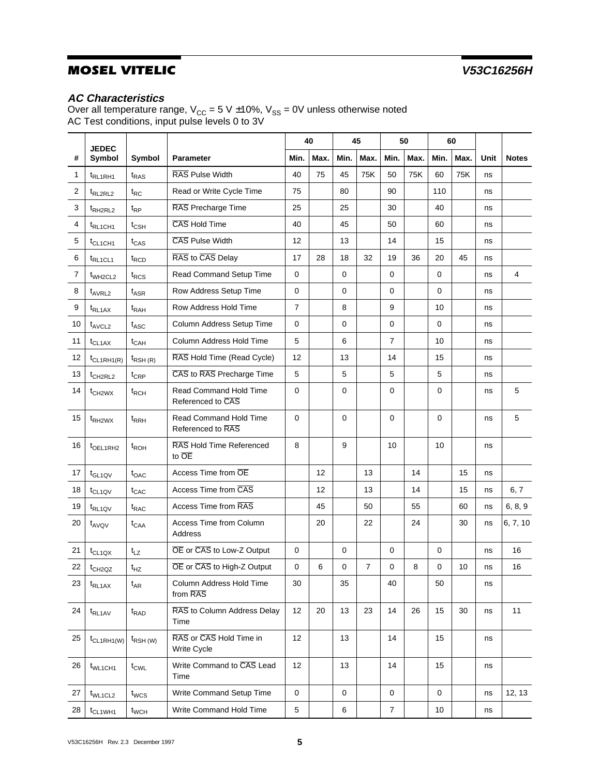## **AC Characteristics**

Over all temperature range, V<sub>CC</sub> = 5 V  $\pm 10$ %, V<sub>SS</sub> = 0V unless otherwise noted AC Test conditions, input pulse levels 0 to 3V

|    | <b>JEDEC</b>                         |                    |                                                    | 40             |      | 45          |      | 50               |      | 60          |      |      |              |
|----|--------------------------------------|--------------------|----------------------------------------------------|----------------|------|-------------|------|------------------|------|-------------|------|------|--------------|
| #  | Symbol                               | Symbol             | <b>Parameter</b>                                   | Min.           | Max. | Min.        | Max. | Min.             | Max. | Min.        | Max. | Unit | <b>Notes</b> |
| 1  | t <sub>RL1RH1</sub>                  | $t_{RAS}$          | RAS Pulse Width                                    | 40             | 75   | 45          | 75K  | 50               | 75K  | 60          | 75K  | ns   |              |
| 2  | t <sub>RL2RL2</sub>                  | $t_{RC}$           | Read or Write Cycle Time                           | 75             |      | 80          |      | 90               |      | 110         |      | ns   |              |
| 3  | t <sub>RH2RL2</sub>                  | $t_{RP}$           | RAS Precharge Time                                 | 25             |      | 25          |      | 30               |      | 40          |      | ns   |              |
| 4  | $t_{RL1CH1}$                         | $t_{\text{CSH}}$   | CAS Hold Time                                      | 40             |      | 45          |      | 50               |      | 60          |      | ns   |              |
| 5  | $t_{CL1CH1}$                         | $t_{CAS}$          | CAS Pulse Width                                    | 12             |      | 13          |      | 14               |      | 15          |      | ns   |              |
| 6  | t <sub>RL1CL1</sub>                  | t <sub>RCD</sub>   | RAS to CAS Delay                                   | 17             | 28   | 18          | 32   | 19               | 36   | 20          | 45   | ns   |              |
| 7  | $t_{WH2CL2}$                         | $t_{RCS}$          | Read Command Setup Time                            | 0              |      | $\mathbf 0$ |      | 0                |      | $\mathbf 0$ |      | ns   | 4            |
| 8  | t <sub>AVRL2</sub>                   | $t_{ASR}$          | Row Address Setup Time                             | $\mathbf 0$    |      | $\mathbf 0$ |      | 0                |      | $\mathbf 0$ |      | ns   |              |
| 9  | <sup>t</sup> RL <sub>1AX</sub>       | t <sub>RAH</sub>   | Row Address Hold Time                              | $\overline{7}$ |      | 8           |      | 9                |      | 10          |      | ns   |              |
| 10 | $t$ <sub>AVCL2</sub>                 | $t_{\text{ASC}}$   | Column Address Setup Time                          | 0              |      | $\mathbf 0$ |      | 0                |      | $\mathbf 0$ |      | ns   |              |
| 11 | $t_{CL1AX}$                          | $t_{CAH}$          | Column Address Hold Time                           | 5              |      | 6           |      | $\overline{7}$   |      | 10          |      | ns   |              |
| 12 | $t_{CL1RH1(R)}$                      | $t_{RSH(R)}$       | RAS Hold Time (Read Cycle)                         | 12             |      | 13          |      | 14               |      | 15          |      | ns   |              |
| 13 | $t_{CH2RL2}$                         | $t_{CRP}$          | CAS to RAS Precharge Time                          | 5              |      | 5           |      | 5                |      | 5           |      | ns   |              |
| 14 | $t_{CH2WX}$                          | $t_{RCH}$          | Read Command Hold Time<br>Referenced to CAS        | 0              |      | 0           |      | 0                |      | 0           |      | ns   | 5            |
| 15 | $t_{R$ H <sub>2</sub> W <sub>X</sub> | $t_{RRH}$          | <b>Read Command Hold Time</b><br>Referenced to RAS | 0              |      | $\mathbf 0$ |      | $\mathbf 0$      |      | 0           |      | ns   | 5            |
| 16 | t <sub>OEL1RH2</sub>                 | $t_{ROH}$          | RAS Hold Time Referenced<br>to OE                  | 8              |      | 9           |      | 10               |      | 10          |      | ns   |              |
| 17 | $t_{GL1QV}$                          | $t_{OAC}$          | Access Time from OE                                |                | 12   |             | 13   |                  | 14   |             | 15   | ns   |              |
| 18 | t <sub>CL1QV</sub>                   | $t_{CAC}$          | Access Time from CAS                               |                | 12   |             | 13   |                  | 14   |             | 15   | ns   | 6, 7         |
| 19 | $t_{RL1QV}$                          | $t_{RAC}$          | Access Time from RAS                               |                | 45   |             | 50   |                  | 55   |             | 60   | ns   | 6, 8, 9      |
| 20 | t <sub>AVQV</sub>                    | $t_{\text{CAA}}$   | Access Time from Column<br>Address                 |                | 20   |             | 22   |                  | 24   |             | 30   | ns   | 6, 7, 10     |
| 21 | $t_{CL1QX}$                          | $t_{LZ}$           | OE or CAS to Low-Z Output                          | 0              |      | 0           |      | 0                |      | 0           |      | ns   | 16           |
| 22 | t <sub>CH2QZ</sub>                   | $t_{HZ}$           | OE or CAS to High-Z Output                         | 0              | 6    | 0           | 7    | 0                | 8    | $\mathbf 0$ | 10   | ns   | 16           |
| 23 | $t_{RL1AX}$                          | $t_{AR}$           | Column Address Hold Time<br>from RAS               | 30             |      | 35          |      | 40               |      | 50          |      | ns   |              |
| 24 | $t_{RL1AV}$                          | $t_{\mathsf{RAD}}$ | RAS to Column Address Delay<br>Time                | 12             | 20   | 13          | 23   | 14               | 26   | 15          | 30   | ns   | 11           |
| 25 | $t_{CL1RH1(W)}$                      | $t_{RSH (W)}$      | RAS or CAS Hold Time in<br><b>Write Cycle</b>      | 12             |      | 13          |      | 14               |      | 15          |      | ns   |              |
| 26 | $t_{WL1CH1}$                         | $t_{\text{CWL}}$   | Write Command to CAS Lead<br>Time                  | 12             |      | 13          |      | 14               |      | 15          |      | ns   |              |
| 27 | t <sub>WL1CL2</sub>                  | $t_{WCS}$          | Write Command Setup Time                           | 0              |      | 0           |      | 0                |      | $\mathbf 0$ |      | ns   | 12, 13       |
| 28 | t <sub>CL1WH1</sub>                  | $t_{WCH}$          | Write Command Hold Time                            | 5              |      | 6           |      | $\boldsymbol{7}$ |      | $10$        |      | ns   |              |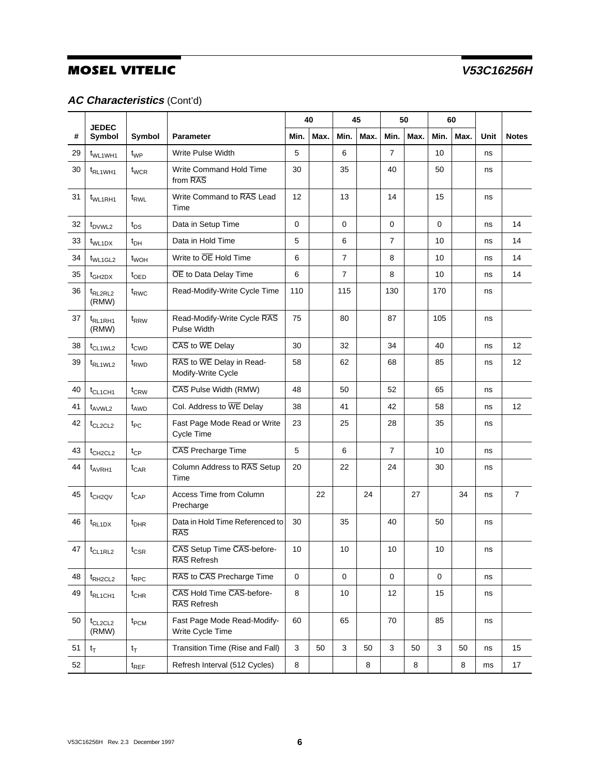## **AC Characteristics** (Cont'd)

|    |                              |                    |                                                 |      | 45<br>50<br>40<br>60 |                |         |                |      |             |      |      |                |
|----|------------------------------|--------------------|-------------------------------------------------|------|----------------------|----------------|---------|----------------|------|-------------|------|------|----------------|
| #  | <b>JEDEC</b><br>Symbol       | Symbol             | <b>Parameter</b>                                | Min. | Max.                 | Min.           | Max.    | Min.           | Max. | Min.        | Max. | Unit | <b>Notes</b>   |
| 29 | t <sub>WL1WH1</sub>          | $t_{WP}$           | Write Pulse Width                               | 5    |                      | 6              |         | $\overline{7}$ |      | 10          |      | ns   |                |
| 30 | t <sub>RL1WH1</sub>          | t <sub>WCR</sub>   | Write Command Hold Time<br>from RAS             | 30   |                      | 35             |         | 40             |      | 50          |      | ns   |                |
| 31 | t <sub>WL1RH1</sub>          | t <sub>RWL</sub>   | Write Command to RAS Lead<br>Time               | 12   |                      | 13             |         | 14             |      | 15          |      | ns   |                |
| 32 | t <sub>DVWL2</sub>           | $t_{DS}$           | Data in Setup Time                              | 0    |                      | $\mathbf 0$    |         | 0              |      | $\mathbf 0$ |      | ns   | 14             |
| 33 | $t_{WL1DX}$                  | $t_{DH}$           | Data in Hold Time                               | 5    |                      | 6              |         | $\overline{7}$ |      | 10          |      | ns   | 14             |
| 34 | t <sub>WL1GL2</sub>          | t <sub>WOH</sub>   | Write to OE Hold Time                           | 6    |                      | $\overline{7}$ |         | 8              |      | 10          |      | ns   | 14             |
| 35 | $t_{GH2DX}$                  | $t_{\text{OED}}$   | OE to Data Delay Time                           | 6    |                      | $\overline{7}$ |         | 8              |      | 10          |      | ns   | 14             |
| 36 | t <sub>RL2RL2</sub><br>(RMW) | t <sub>RWC</sub>   | Read-Modify-Write Cycle Time                    | 110  |                      | 115            |         | 130            |      | 170         |      | ns   |                |
| 37 | t <sub>RL1RH1</sub><br>(RMW) | $t_{RRW}$          | Read-Modify-Write Cycle RAS<br>Pulse Width      | 75   |                      | 80             |         | 87             |      | 105         |      | ns   |                |
| 38 | t <sub>CL1WL2</sub>          | $t_{\text{CWD}}$   | CAS to WE Delay                                 | 30   |                      | 32             |         | 34             |      | 40          |      | ns   | 12             |
| 39 | t <sub>RL1WL2</sub>          | t <sub>RWD</sub>   | RAS to WE Delay in Read-<br>Modify-Write Cycle  |      |                      | 62             |         | 68             |      | 85          |      | ns   | 12             |
| 40 | $t_{CL1CH1}$                 | $t_{CRW}$          | CAS Pulse Width (RMW)                           | 48   |                      | 50             |         | 52             |      | 65          |      | ns   |                |
| 41 | t <sub>AVWL2</sub>           | t <sub>AWD</sub>   | Col. Address to WE Delay                        | 38   |                      | 41             |         | 42             |      | 58          |      | ns   | 12             |
| 42 | $t_{CL2CL2}$                 | $t_{PC}$           | Fast Page Mode Read or Write<br>Cycle Time      | 23   |                      | 25             |         | 28             |      | 35          |      | ns   |                |
| 43 | $t_{CH2CL2}$                 | $t_{CP}$           | CAS Precharge Time                              | 5    |                      | 6              |         | $\overline{7}$ |      | 10          |      | ns   |                |
| 44 | $t_{AVRH1}$                  | $t_{\text{CAR}}$   | Column Address to RAS Setup<br>Time             | 20   |                      | 22             |         | 24             |      | 30          |      | ns   |                |
| 45 | $t$ <sub>CH2QV</sub>         | $t_{\mathsf{CAP}}$ | Access Time from Column<br>Precharge            |      | 22                   |                | 24      |                | 27   |             | 34   | ns   | $\overline{7}$ |
| 46 | $t_{RL1DX}$                  | $t_{DHR}$          | Data in Hold Time Referenced to<br><b>RAS</b>   | 30   |                      | 35             |         | 40             |      | 50          |      | ns   |                |
| 47 | $t_{\scriptstyle\rm CL1RL2}$ | $t_{\sf CSR}$      | CAS Setup Time CAS-before-<br>RAS Refresh       | 10   |                      | $10\,$         |         | 10             |      | $10\,$      |      | ns   |                |
| 48 | t <sub>RH2CL2</sub>          | $t_{\text{RPC}}$   | RAS to CAS Precharge Time                       | 0    |                      | $\mathbf 0$    |         | $\mathbf 0$    |      | $\mathbf 0$ |      | ns   |                |
| 49 | t <sub>RL1CH1</sub>          | $t_{\text{CHR}}$   | CAS Hold Time CAS-before-<br>RAS Refresh        | 8    |                      | 10             |         | 12             |      | 15          |      | ns   |                |
| 50 | $t_{CL2CL2}$<br>(RMW)        | $t_{\mathsf{PCM}}$ | Fast Page Mode Read-Modify-<br>Write Cycle Time | 60   |                      | 65             |         | 70             |      | 85          |      | ns   |                |
| 51 | $t_T$                        | $t_T$              | Transition Time (Rise and Fall)                 | 3    | 50                   | $\sqrt{3}$     | 50      | $\mathbf{3}$   | 50   | 3           | 50   | ns   | 15             |
| 52 |                              | $t_{REF}$          | Refresh Interval (512 Cycles)                   | 8    |                      |                | $\bf 8$ |                | 8    |             | 8    | ms   | 17             |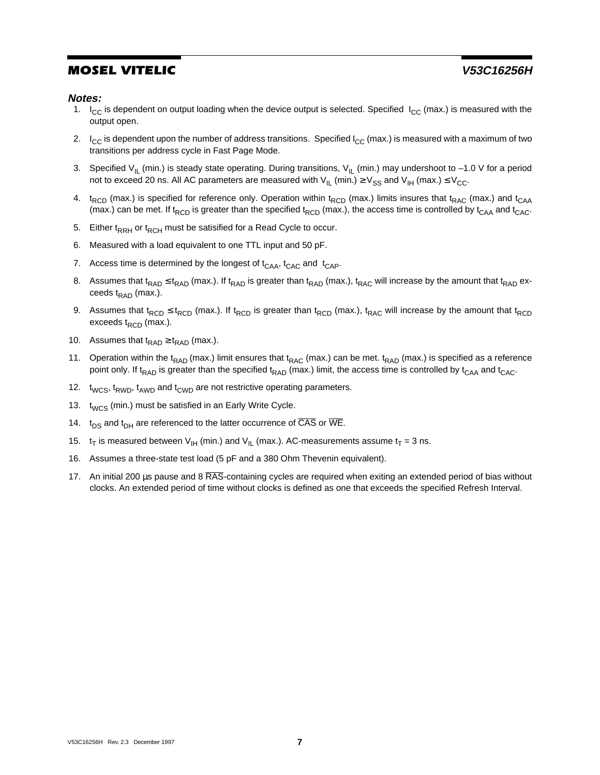#### **Notes:**

- 1.  $I_{\rm CC}$  is dependent on output loading when the device output is selected. Specified  $I_{\rm CC}$  (max.) is measured with the output open.
- 2.  $\;$  I<sub>CC</sub> is dependent upon the number of address transitions. Specified I<sub>CC</sub> (max.) is measured with a maximum of two transitions per address cycle in Fast Page Mode.
- 3. Specified V<sub>IL</sub> (min.) is steady state operating. During transitions, V<sub>IL</sub> (min.) may undershoot to –1.0 V for a period not to exceed 20 ns. All AC parameters are measured with  $V_{\text{IL}}$  (min.)  $\geq V_{SS}$  and  $V_{\text{IH}}$  (max.)  $\leq V_{\text{CC}}$ .
- 4.  $t_{RCD}$  (max.) is specified for reference only. Operation within  $t_{RCD}$  (max.) limits insures that  $t_{RAC}$  (max.) and  $t_{CAA}$ (max.) can be met. If t<sub>RCD</sub> is greater than the specified t<sub>RCD</sub> (max.), the access time is controlled by t<sub>CAA</sub> and t<sub>CAC</sub>.
- 5. Either  $t_{RRH}$  or  $t_{RCH}$  must be satisified for a Read Cycle to occur.
- 6. Measured with a load equivalent to one TTL input and 50 pF.
- 7. Access time is determined by the longest of  $t_{CAA}$ ,  $t_{CAC}$  and  $t_{CAP}$ .
- 8. Assumes that t<sub>RAD</sub> ≤ t<sub>RAD</sub> (max.). If t<sub>RAD</sub> is greater than t<sub>RAD</sub> (max.), t<sub>RAC</sub> will increase by the amount that t<sub>RAD</sub> exceeds  $t_{\text{RAD}}$  (max.).
- 9. Assumes that t<sub>RCD</sub>  $\leq$  t<sub>RCD</sub> (max.). If t<sub>RCD</sub> is greater than t<sub>RCD</sub> (max.), t<sub>RAC</sub> will increase by the amount that t<sub>RCD</sub> exceeds  $t_{\text{RCD}}$  (max.).
- 10. Assumes that  $t_{\text{RAD}} \geq t_{\text{RAD}}$  (max.).
- 11. Operation within the t<sub>RAD</sub> (max.) limit ensures that t<sub>RAC</sub> (max.) can be met. t<sub>RAD</sub> (max.) is specified as a reference point only. If t<sub>RAD</sub> is greater than the specified t<sub>RAD</sub> (max.) limit, the access time is controlled by t<sub>CAA</sub> and t<sub>CAC</sub>.
- 12. t<sub>WCS</sub>, t<sub>RWD</sub>, t<sub>AWD</sub> and t<sub>CWD</sub> are not restrictive operating parameters.
- 13. t<sub>WCS</sub> (min.) must be satisfied in an Early Write Cycle.
- 14.  $t_{DS}$  and  $t_{DH}$  are referenced to the latter occurrence of  $\overline{CAS}$  or  $\overline{WE}$ .
- 15.  $t_T$  is measured between V<sub>IH</sub> (min.) and V<sub>IL</sub> (max.). AC-measurements assume  $t_T = 3$  ns.
- 16. Assumes a three-state test load (5 pF and a 380 Ohm Thevenin equivalent).
- 17. An initial 200 µs pause and 8 RAS-containing cycles are required when exiting an extended period of bias without clocks. An extended period of time without clocks is defined as one that exceeds the specified Refresh Interval.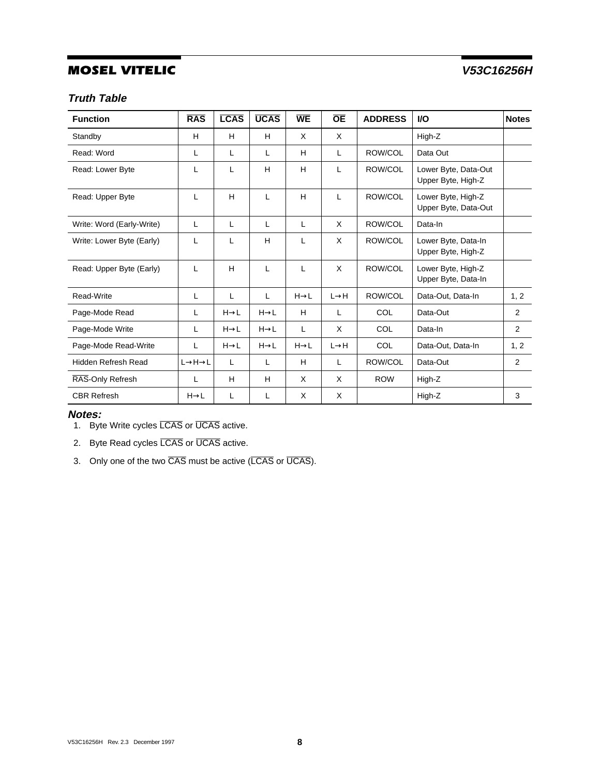## **Truth Table**

| <b>Function</b>            | <b>RAS</b>                      | <b>LCAS</b>      | <b>UCAS</b>      | <b>WE</b>        | <b>OE</b>         | <b>ADDRESS</b> | <b>VO</b>                                  | <b>Notes</b> |
|----------------------------|---------------------------------|------------------|------------------|------------------|-------------------|----------------|--------------------------------------------|--------------|
| Standby                    | H                               | H                | H                | $\times$         | X                 |                | High-Z                                     |              |
| Read: Word                 | L                               | L                | L                | H                | L                 | ROW/COL        | Data Out                                   |              |
| Read: Lower Byte           | L                               | L                | H                | H                | L                 | ROW/COL        | Lower Byte, Data-Out<br>Upper Byte, High-Z |              |
| Read: Upper Byte           | L                               | H                | L                | H                | L                 | ROW/COL        | Lower Byte, High-Z<br>Upper Byte, Data-Out |              |
| Write: Word (Early-Write)  | L                               | L                | L                | L                | X                 | ROW/COL        | Data-In                                    |              |
| Write: Lower Byte (Early)  | L                               | L                | H                | L                | X                 | ROW/COL        | Lower Byte, Data-In<br>Upper Byte, High-Z  |              |
| Read: Upper Byte (Early)   | L                               | H                | L                | L                | X                 | ROW/COL        | Lower Byte, High-Z<br>Upper Byte, Data-In  |              |
| Read-Write                 | L                               | L                | L                | $H\rightarrow L$ | $L \rightarrow H$ | ROW/COL        | Data-Out, Data-In                          | 1, 2         |
| Page-Mode Read             | L                               | $H\rightarrow L$ | $H\rightarrow L$ | H                | L                 | <b>COL</b>     | Data-Out                                   | 2            |
| Page-Mode Write            | L                               | $H\rightarrow L$ | $H\rightarrow L$ | L                | X                 | COL            | Data-In                                    | 2            |
| Page-Mode Read-Write       | L                               | $H\rightarrow L$ | $H\rightarrow L$ | $H\rightarrow L$ | $L \rightarrow H$ | <b>COL</b>     | Data-Out, Data-In                          | 1, 2         |
| <b>Hidden Refresh Read</b> | $L \rightarrow H \rightarrow L$ | L                | L                | H                | L                 | ROW/COL        | Data-Out                                   | 2            |
| RAS-Only Refresh           | L                               | н                | H                | $\times$         | X                 | <b>ROW</b>     | High-Z                                     |              |
| <b>CBR Refresh</b>         | $H \rightarrow L$               | L                | L                | $\times$         | X                 |                | High-Z                                     | 3            |

#### **Notes:**

1. Byte Write cycles LCAS or UCAS active.

2. Byte Read cycles LCAS or UCAS active.

3. Only one of the two CAS must be active (LCAS or UCAS).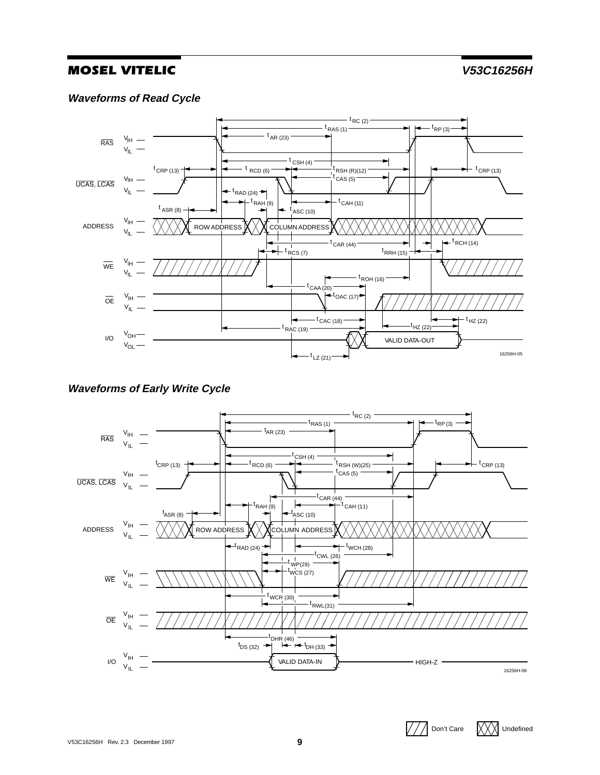### **Waveforms of Read Cycle**



## **Waveforms of Early Write Cycle**



 $\sqrt{1/2}$  Don't Care  $\sqrt{1/2}$  Undefined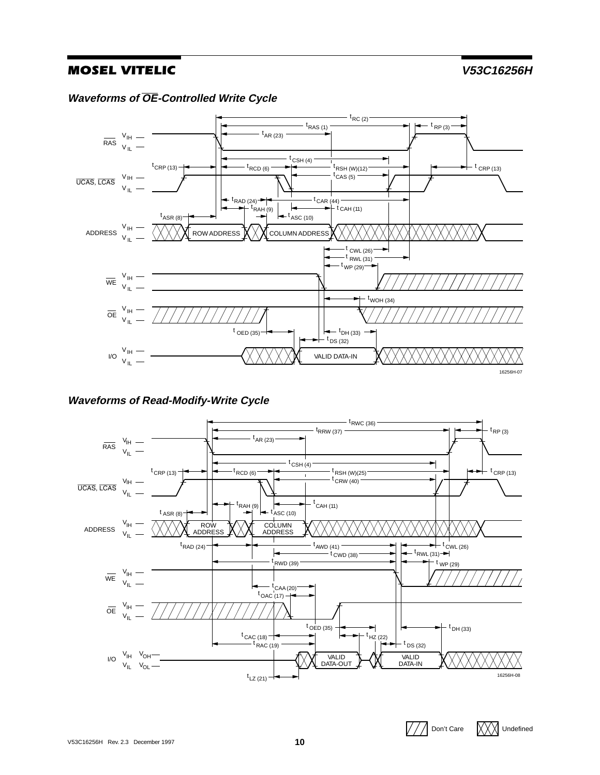$\sqrt{1/2}$  Don't Care  $\sqrt{1/2}$  Undefined

**Waveforms of OE-Controlled Write Cycle**



### **Waveforms of Read-Modify-Write Cycle**